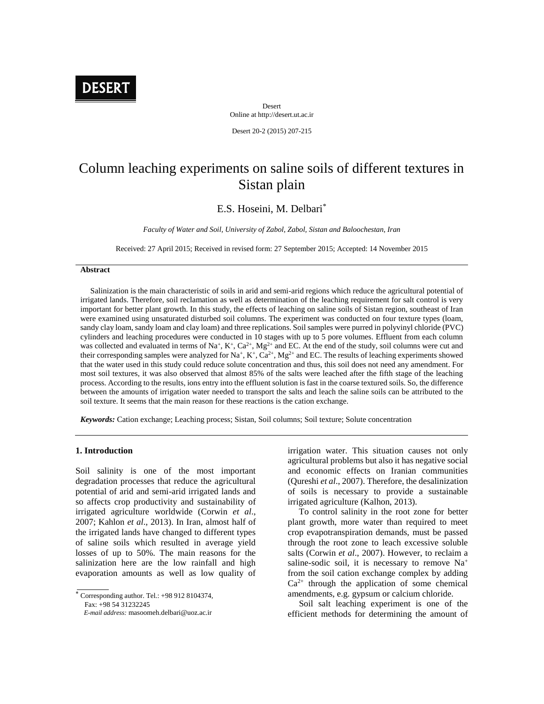

Desert Online at http://desert.ut.ac.ir

Desert 20-2 (2015) 207-215

# Column leaching experiments on saline soils of different textures in Sistan plain

## E.S. Hoseini, M. Delbari\*

*Faculty of Water and Soil, University of Zabol, Zabol, Sistan and Baloochestan, Iran*

Received: 27 April 2015; Received in revised form: 27 September 2015; Accepted: 14 November 2015

## **Abstract**

Salinization is the main characteristic of soils in arid and semi-arid regions which reduce the agricultural potential of irrigated lands. Therefore, soil reclamation as well as determination of the leaching requirement for salt control is very important for better plant growth. In this study, the effects of leaching on saline soils of Sistan region, southeast of Iran were examined using unsaturated disturbed soil columns. The experiment was conducted on four texture types (loam, sandy clay loam, sandy loam and clay loam) and three replications. Soil samples were purred in polyvinyl chloride (PVC) cylinders and leaching procedures were conducted in 10 stages with up to 5 pore volumes. Effluent from each column was collected and evaluated in terms of Na<sup>+</sup>, K<sup>+</sup>, Ca<sup>2+</sup>, Mg<sup>2+</sup> and EC. At the end of the study, soil columns were cut and their corresponding samples were analyzed for Na<sup>+</sup>, K<sup>+</sup>, Ca<sup>2+</sup>, Mg<sup>2+</sup> and EC. The results of leaching experiments showed that the water used in this study could reduce solute concentration and thus, this soil does not need any amendment. For most soil textures, it was also observed that almost 85% of the salts were leached after the fifth stage of the leaching process. According to the results, ions entry into the effluent solution is fast in the coarse textured soils. So, the difference between the amounts of irrigation water needed to transport the salts and leach the saline soils can be attributed to the soil texture. It seems that the main reason for these reactions is the cation exchange.

*Keywords:* Cation exchange; Leaching process; Sistan, Soil columns; Soil texture; Solute concentration

#### **1. Introduction**

Soil salinity is one of the most important degradation processes that reduce the agricultural potential of arid and semi-arid irrigated lands and so affects crop productivity and sustainability of irrigated agriculture worldwide (Corwin *et al*., 2007; Kahlon *et al*., 2013). In Iran, almost half of the irrigated lands have changed to different types of saline soils which resulted in average yield losses of up to 50%. The main reasons for the salinization here are the low rainfall and high evaporation amounts as well as low quality of

Fax: +98 54 31232245

irrigation water. This situation causes not only agricultural problems but also it has negative social and economic effects on Iranian communities (Qureshi *et al*., 2007). Therefore, the desalinization of soils is necessary to provide a sustainable irrigated agriculture (Kalhon, 2013).

To control salinity in the root zone for better plant growth, more water than required to meet crop evapotranspiration demands, must be passed through the root zone to leach excessive soluble salts (Corwin *et al*., 2007). However, to reclaim a saline-sodic soil, it is necessary to remove Na<sup>+</sup> from the soil cation exchange complex by adding  $Ca^{2+}$  through the application of some chemical amendments, e.g. gypsum or calcium chloride.

Soil salt leaching experiment is one of the efficient methods for determining the amount of

Corresponding author. Tel.: +98 912 8104374,

*E-mail address:* masoomeh.delbari@uoz.ac.ir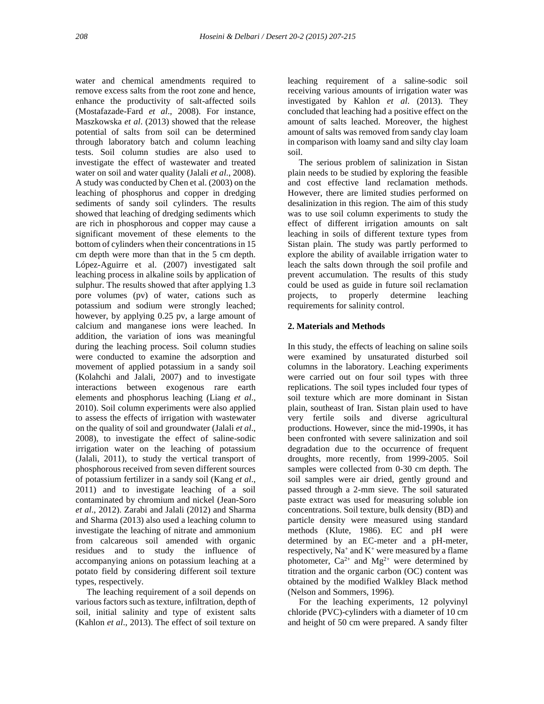water and chemical amendments required to remove excess salts from the root zone and hence, enhance the productivity of salt-affected soils (Mostafazade-Fard *et al*., 2008). For instance, Maszkowska *et al*. (2013) showed that the release potential of salts from soil can be determined through laboratory batch and column leaching tests. Soil column studies are also used to investigate the effect of wastewater and treated water on soil and water quality (Jalali *et al*., 2008). A study was conducted by Chen et al. (2003) on the leaching of phosphorus and copper in dredging sediments of sandy soil cylinders. The results showed that leaching of dredging sediments which are rich in phosphorous and copper may cause a significant movement of these elements to the bottom of cylinders when their concentrations in 15 cm depth were more than that in the 5 cm depth. López-Aguirre et al. (2007) investigated salt leaching process in alkaline soils by application of sulphur. The results showed that after applying 1.3 pore volumes (pv) of water, cations such as potassium and sodium were strongly leached; however, by applying 0.25 pv, a large amount of calcium and manganese ions were leached. In addition, the variation of ions was meaningful during the leaching process. Soil column studies were conducted to examine the adsorption and movement of applied potassium in a sandy soil (Kolahchi and Jalali, 2007) and to investigate interactions between exogenous rare earth elements and phosphorus leaching (Liang *et al*., 2010). Soil column experiments were also applied to assess the effects of irrigation with wastewater on the quality of soil and groundwater (Jalali *et al*., 2008), to investigate the effect of saline-sodic irrigation water on the leaching of potassium (Jalali, 2011), to study the vertical transport of phosphorous received from seven different sources of potassium fertilizer in a sandy soil (Kang *et al*., 2011) and to investigate leaching of a soil contaminated by chromium and nickel (Jean-Soro *et al*., 2012). Zarabi and Jalali (2012) and Sharma and Sharma (2013) also used a leaching column to investigate the leaching of nitrate and ammonium from calcareous soil amended with organic residues and to study the influence of accompanying anions on potassium leaching at a potato field by considering different soil texture types, respectively.

The leaching requirement of a soil depends on various factors such as texture, infiltration, depth of soil, initial salinity and type of existent salts (Kahlon *et al*., 2013). The effect of soil texture on leaching requirement of a saline-sodic soil receiving various amounts of irrigation water was investigated by Kahlon *et al*. (2013). They concluded that leaching had a positive effect on the amount of salts leached. Moreover, the highest amount of salts was removed from sandy clay loam in comparison with loamy sand and silty clay loam soil.

The serious problem of salinization in Sistan plain needs to be studied by exploring the feasible and cost effective land reclamation methods. However, there are limited studies performed on desalinization in this region. The aim of this study was to use soil column experiments to study the effect of different irrigation amounts on salt leaching in soils of different texture types from Sistan plain. The study was partly performed to explore the ability of available irrigation water to leach the salts down through the soil profile and prevent accumulation. The results of this study could be used as guide in future soil reclamation projects, to properly determine leaching requirements for salinity control.

## **2. Materials and Methods**

In this study, the effects of leaching on saline soils were examined by unsaturated disturbed soil columns in the laboratory. Leaching experiments were carried out on four soil types with three replications. The soil types included four types of soil texture which are more dominant in Sistan plain, southeast of Iran. Sistan plain used to have very fertile soils and diverse agricultural productions. However, since the mid-1990s, it has been confronted with severe salinization and soil degradation due to the occurrence of frequent droughts, more recently, from 1999-2005. Soil samples were collected from 0-30 cm depth. The soil samples were air dried, gently ground and passed through a 2-mm sieve. The soil saturated paste extract was used for measuring soluble ion concentrations. Soil texture, bulk density (BD) and particle density were measured using standard methods (Klute, 1986). EC and pH were determined by an EC-meter and a pH-meter, respectively,  $Na^+$  and  $K^+$  were measured by a flame photometer,  $Ca^{2+}$  and  $Mg^{2+}$  were determined by titration and the organic carbon (OC) content was obtained by the modified Walkley Black method (Nelson and Sommers, 1996).

For the leaching experiments, 12 polyvinyl chloride (PVC)-cylinders with a diameter of 10 cm and height of 50 cm were prepared. A sandy filter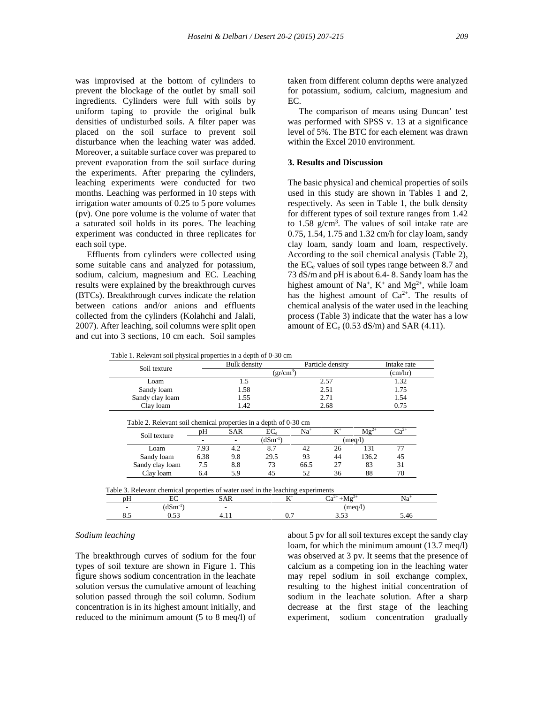was improvised at the bottom of cylinders to prevent the blockage of the outlet by small soil ingredients. Cylinders were full with soils by uniform taping to provide the original bulk densities of undisturbed soils. A filter paper was placed on the soil surface to prevent soil disturbance when the leaching water was added. Moreover, a suitable surface cover was prepared to prevent evaporation from the soil surface during the experiments. After preparing the cylinders, leaching experiments were conducted for two months. Leaching was performed in 10 steps with irrigation water amounts of 0.25 to 5 pore volumes (pv). One pore volume is the volume of water that a saturated soil holds in its pores. The leaching experiment was conducted in three replicates for each soil type.

Effluents from cylinders were collected using some suitable cans and analyzed for potassium, sodium, calcium, magnesium and EC. Leaching results were explained by the breakthrough curves (BTCs). Breakthrough curves indicate the relation between cations and/or anions and effluents collected from the cylinders (Kolahchi and Jalali, 2007). After leaching, soil columns were split open and cut into 3 sections, 10 cm each. Soil samples taken from different column depths were analyzed for potassium, sodium, calcium, magnesium and EC.

The comparison of means using Duncan' test was performed with SPSS v. 13 at a significance level of 5%. The BTC for each element was drawn within the Excel 2010 environment.

## **3. Results and Discussion**

The basic physical and chemical properties of soils used in this study are shown in Tables 1 and 2, respectively. As seen in Table 1, the bulk density for different types of soil texture ranges from 1.42 to  $1.58$  g/cm<sup>3</sup>. The values of soil intake rate are 0.75, 1.54, 1.75 and 1.32 cm/h for clay loam, sandy clay loam, sandy loam and loam, respectively. According to the soil chemical analysis (Table 2), the  $EC_e$  values of soil types range between 8.7 and 73 dS/m and pH is about 6.4- 8. Sandy loam has the highest amount of Na<sup>+</sup>,  $K^+$  and Mg<sup>2+</sup>, while loam has the highest amount of  $Ca^{2+}$ . The results of chemical analysis of the water used in the leaching process (Table 3) indicate that the water has a low amount of  $EC_e$  (0.53 dS/m) and SAR (4.11).

|           | Soil texture    |           | Bulk density |                                                                                          |         | Particle density  |           | Intake rate |
|-----------|-----------------|-----------|--------------|------------------------------------------------------------------------------------------|---------|-------------------|-----------|-------------|
|           |                 | $gr/cm^3$ |              |                                                                                          |         |                   |           | (cm/hr)     |
|           | Loam            |           | 1.5          |                                                                                          |         | 2.57              |           | 1.32        |
|           | Sandy loam      |           | 1.58         |                                                                                          |         | 2.51              |           | 1.75        |
|           | Sandy clay loam |           | 1.55         |                                                                                          |         | 2.71              |           | 1.54        |
| Clay loam |                 | 1.42      |              |                                                                                          | 2.68    |                   | 0.75      |             |
|           |                 |           |              | $(dSm^{-1})$                                                                             | (meq/l) |                   |           |             |
|           | Soil texture    |           | SAR          | Table 2. Relevant soil chemical properties in a depth of 0-30 cm<br>$EC_{\rm e}$         | $Na+$   | $K^+$             | $Mg^{2+}$ | $Ca^{2+}$   |
|           |                 |           | 7.93         |                                                                                          |         | 26                | 131       | 77          |
|           | Loam            |           | 4.2          | 8.7                                                                                      | 42      |                   |           |             |
|           | Sandy loam      |           | 9.8          | 29.5                                                                                     | 93      | 44                | 136.2     | 45          |
|           | Sandy clay loam |           | 8.8          | 73                                                                                       | 66.5    | 27                | 83        | 31          |
|           | Clay loam       |           | 5.9          | 45                                                                                       | 52      | 36                | 88        | 70          |
|           |                 |           |              |                                                                                          |         |                   |           |             |
|           |                 |           |              |                                                                                          |         |                   |           |             |
| pН        | EC              |           | <b>SAR</b>   | Table 3. Relevant chemical properties of water used in the leaching experiments<br>$K^+$ |         | $Ca^{2+}+Mg^{2+}$ |           | $Na+$       |
|           | $(dSm^{-1})$    |           |              |                                                                                          |         |                   | (meq/l)   |             |

#### *Sodium leaching*

The breakthrough curves of sodium for the four types of soil texture are shown in Figure 1. This figure shows sodium concentration in the leachate solution versus the cumulative amount of leaching solution passed through the soil column. Sodium concentration is in its highest amount initially, and reduced to the minimum amount (5 to 8 meq/l) of about 5 pv for all soil textures except the sandy clay loam, for which the minimum amount (13.7 meq/l) was observed at 3 pv. It seems that the presence of calcium as a competing ion in the leaching water may repel sodium in soil exchange complex, resulting to the highest initial concentration of sodium in the leachate solution. After a sharp decrease at the first stage of the leaching experiment, sodium concentration gradually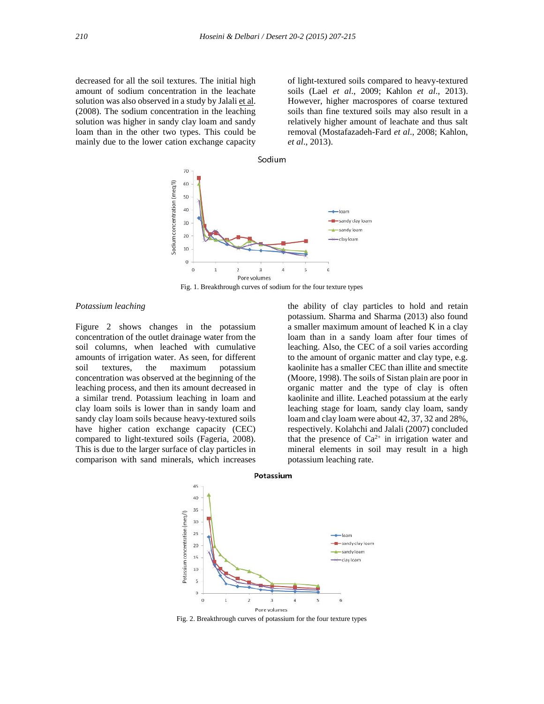decreased for all the soil textures. The initial high amount of sodium concentration in the leachate solution was also observed in a study by Jalali et al. (2008). The sodium concentration in the leaching solution was higher in sandy clay loam and sandy loam than in the other two types. This could be mainly due to the lower cation exchange capacity

of light-textured soils compared to heavy-textured soils (Lael *et al*., 2009; Kahlon *et al*., 2013). However, higher macrospores of coarse textured soils than fine textured soils may also result in a relatively higher amount of leachate and thus salt removal (Mostafazadeh-Fard *et al*., 2008; Kahlon, *et al*., 2013).



Fig. 1. Breakthrough curves of sodium for the four texture types

#### *Potassium leaching*

Figure 2 shows changes in the potassium concentration of the outlet drainage water from the soil columns, when leached with cumulative amounts of irrigation water. As seen, for different soil textures, the maximum potassium concentration was observed at the beginning of the leaching process, and then its amount decreased in a similar trend. Potassium leaching in loam and clay loam soils is lower than in sandy loam and sandy clay loam soils because heavy-textured soils have higher cation exchange capacity (CEC) compared to light-textured soils (Fageria, 2008). This is due to the larger surface of clay particles in comparison with sand minerals, which increases

the ability of clay particles to hold and retain potassium. Sharma and Sharma (2013) also found a smaller maximum amount of leached K in a clay loam than in a sandy loam after four times of leaching. Also, the CEC of a soil varies according to the amount of organic matter and clay type, e.g. kaolinite has a smaller CEC than illite and smectite (Moore, 1998). The soils of Sistan plain are poor in organic matter and the type of clay is often kaolinite and illite. Leached potassium at the early leaching stage for loam, sandy clay loam, sandy loam and clay loam were about 42, 37, 32 and 28%, respectively. Kolahchi and Jalali (2007) concluded that the presence of  $Ca^{2+}$  in irrigation water and mineral elements in soil may result in a high potassium leaching rate.



Fig. 2. Breakthrough curves of potassium for the four texture types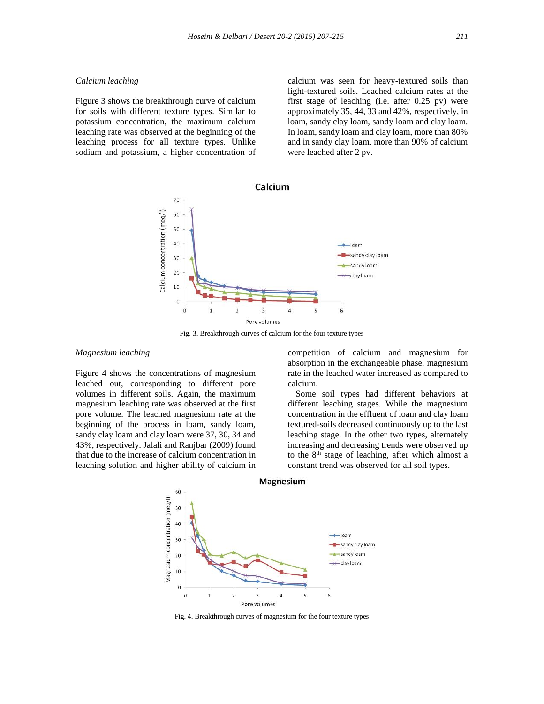## *Calcium leaching*

Figure 3 shows the breakthrough curve of calcium for soils with different texture types. Similar to potassium concentration, the maximum calcium leaching rate was observed at the beginning of the leaching process for all texture types. Unlike sodium and potassium, a higher concentration of calcium was seen for heavy-textured soils than light-textured soils. Leached calcium rates at the first stage of leaching (i.e. after 0.25 pv) were approximately 35, 44, 33 and 42%, respectively, in loam, sandy clay loam, sandy loam and clay loam. In loam, sandy loam and clay loam, more than 80% and in sandy clay loam, more than 90% of calcium were leached after 2 pv.



Fig. 3. Breakthrough curves of calcium for the four texture types

## *Magnesium leaching*

Figure 4 shows the concentrations of magnesium leached out, corresponding to different pore volumes in different soils. Again, the maximum magnesium leaching rate was observed at the first pore volume. The leached magnesium rate at the beginning of the process in loam, sandy loam, sandy clay loam and clay loam were 37, 30, 34 and 43%, respectively. Jalali and Ranjbar (2009) found that due to the increase of calcium concentration in leaching solution and higher ability of calcium in competition of calcium and magnesium for absorption in the exchangeable phase, magnesium rate in the leached water increased as compared to calcium.

Some soil types had different behaviors at different leaching stages. While the magnesium concentration in the effluent of loam and clay loam textured-soils decreased continuously up to the last leaching stage. In the other two types, alternately increasing and decreasing trends were observed up to the  $8<sup>th</sup>$  stage of leaching, after which almost a constant trend was observed for all soil types.



Fig. 4. Breakthrough curves of magnesium for the four texture types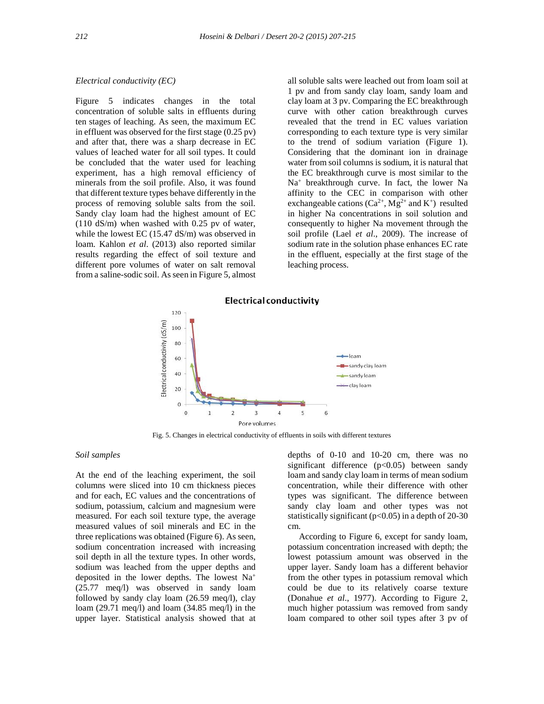## *Electrical conductivity (EC)*

Figure 5 indicates changes in the total concentration of soluble salts in effluents during ten stages of leaching. As seen, the maximum EC in effluent was observed for the first stage (0.25 pv) and after that, there was a sharp decrease in EC values of leached water for all soil types. It could be concluded that the water used for leaching experiment, has a high removal efficiency of minerals from the soil profile. Also, it was found that different texture types behave differently in the process of removing soluble salts from the soil. Sandy clay loam had the highest amount of EC (110 dS/m) when washed with 0.25 pv of water, while the lowest EC (15.47 dS/m) was observed in loam. Kahlon *et al*. (2013) also reported similar results regarding the effect of soil texture and different pore volumes of water on salt removal from a saline-sodic soil. As seen in Figure 5, almost all soluble salts were leached out from loam soil at 1 pv and from sandy clay loam, sandy loam and clay loam at 3 pv. Comparing the EC breakthrough curve with other cation breakthrough curves revealed that the trend in EC values variation corresponding to each texture type is very similar to the trend of sodium variation (Figure 1). Considering that the dominant ion in drainage water from soil columns is sodium, it is natural that the EC breakthrough curve is most similar to the Na<sup>+</sup> breakthrough curve. In fact, the lower Na affinity to the CEC in comparison with other exchangeable cations ( $Ca^{2+}$ , Mg<sup>2+</sup> and K<sup>+</sup>) resulted in higher Na concentrations in soil solution and consequently to higher Na movement through the soil profile (Lael *et al*., 2009). The increase of sodium rate in the solution phase enhances EC rate in the effluent, especially at the first stage of the leaching process.



Fig. 5. Changes in electrical conductivity of effluents in soils with different textures

## *Soil samples*

At the end of the leaching experiment, the soil columns were sliced into 10 cm thickness pieces and for each, EC values and the concentrations of sodium, potassium, calcium and magnesium were measured. For each soil texture type, the average measured values of soil minerals and EC in the three replications was obtained (Figure 6). As seen, sodium concentration increased with increasing soil depth in all the texture types. In other words, sodium was leached from the upper depths and deposited in the lower depths. The lowest Na<sup>+</sup> (25.77 meq/l) was observed in sandy loam followed by sandy clay loam (26.59 meq/l), clay loam (29.71 meq/l) and loam (34.85 meq/l) in the upper layer. Statistical analysis showed that at depths of 0-10 and 10-20 cm, there was no significant difference (p<0.05) between sandy loam and sandy clay loam in terms of mean sodium concentration, while their difference with other types was significant. The difference between sandy clay loam and other types was not statistically significant ( $p<0.05$ ) in a depth of 20-30 cm.

According to Figure 6, except for sandy loam, potassium concentration increased with depth; the lowest potassium amount was observed in the upper layer. Sandy loam has a different behavior from the other types in potassium removal which could be due to its relatively coarse texture (Donahue *et al*., 1977). According to Figure 2, much higher potassium was removed from sandy loam compared to other soil types after 3 pv of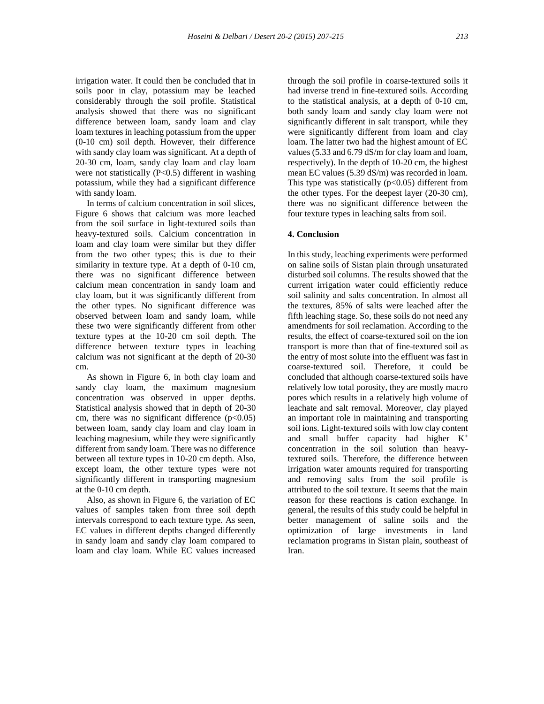irrigation water. It could then be concluded that in soils poor in clay, potassium may be leached considerably through the soil profile. Statistical analysis showed that there was no significant difference between loam, sandy loam and clay loam textures in leaching potassium from the upper (0-10 cm) soil depth. However, their difference with sandy clay loam was significant. At a depth of 20-30 cm, loam, sandy clay loam and clay loam were not statistically  $(P<0.5)$  different in washing potassium, while they had a significant difference with sandy loam.

In terms of calcium concentration in soil slices, Figure 6 shows that calcium was more leached from the soil surface in light-textured soils than heavy-textured soils. Calcium concentration in loam and clay loam were similar but they differ from the two other types; this is due to their similarity in texture type. At a depth of 0-10 cm, there was no significant difference between calcium mean concentration in sandy loam and clay loam, but it was significantly different from the other types. No significant difference was observed between loam and sandy loam, while these two were significantly different from other texture types at the 10-20 cm soil depth. The difference between texture types in leaching calcium was not significant at the depth of 20-30 cm.

As shown in Figure 6, in both clay loam and sandy clay loam, the maximum magnesium concentration was observed in upper depths. Statistical analysis showed that in depth of 20-30 cm, there was no significant difference  $(p<0.05)$ between loam, sandy clay loam and clay loam in leaching magnesium, while they were significantly different from sandy loam. There was no difference between all texture types in 10-20 cm depth. Also, except loam, the other texture types were not significantly different in transporting magnesium at the 0-10 cm depth.

Also, as shown in Figure 6, the variation of EC values of samples taken from three soil depth intervals correspond to each texture type. As seen, EC values in different depths changed differently in sandy loam and sandy clay loam compared to loam and clay loam. While EC values increased through the soil profile in coarse-textured soils it had inverse trend in fine-textured soils. According to the statistical analysis, at a depth of 0-10 cm, both sandy loam and sandy clay loam were not significantly different in salt transport, while they were significantly different from loam and clay loam. The latter two had the highest amount of EC values (5.33 and 6.79 dS/m for clay loam and loam, respectively). In the depth of 10-20 cm, the highest mean EC values (5.39 dS/m) was recorded in loam. This type was statistically  $(p<0.05)$  different from the other types. For the deepest layer (20-30 cm), there was no significant difference between the four texture types in leaching salts from soil.

## **4. Conclusion**

In this study, leaching experiments were performed on saline soils of Sistan plain through unsaturated disturbed soil columns. The results showed that the current irrigation water could efficiently reduce soil salinity and salts concentration. In almost all the textures, 85% of salts were leached after the fifth leaching stage. So, these soils do not need any amendments for soil reclamation. According to the results, the effect of coarse-textured soil on the ion transport is more than that of fine-textured soil as the entry of most solute into the effluent was fast in coarse-textured soil. Therefore, it could be concluded that although coarse-textured soils have relatively low total porosity, they are mostly macro pores which results in a relatively high volume of leachate and salt removal. Moreover, clay played an important role in maintaining and transporting soil ions. Light-textured soils with low clay content and small buffer capacity had higher  $K^+$ concentration in the soil solution than heavytextured soils. Therefore, the difference between irrigation water amounts required for transporting and removing salts from the soil profile is attributed to the soil texture. It seems that the main reason for these reactions is cation exchange. In general, the results of this study could be helpful in better management of saline soils and the optimization of large investments in land reclamation programs in Sistan plain, southeast of Iran.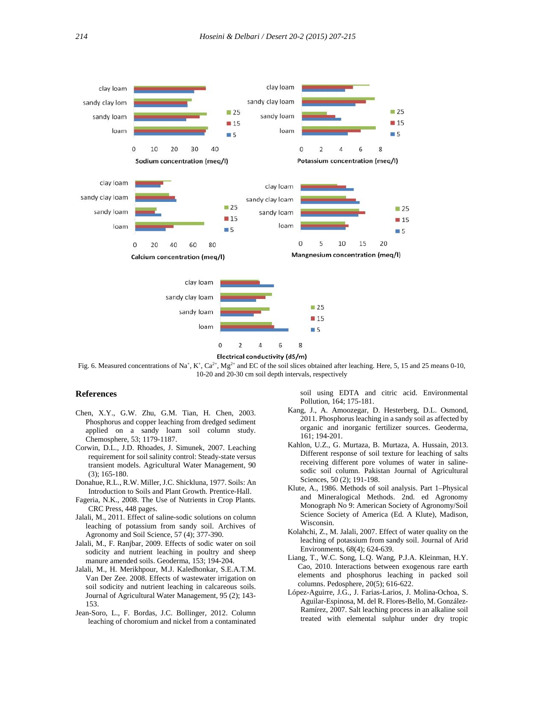

Electrical conductivity (dS/m)

Fig. 6. Measured concentrations of Na<sup>+</sup>, K<sup>+</sup>, Ca<sup>2+</sup>, Mg<sup>2+</sup> and EC of the soil slices obtained after leaching. Here, 5, 15 and 25 means 0-10, 10-20 and 20-30 cm soil depth intervals, respectively

#### **References**

- Chen, X.Y., G.W. Zhu, G.M. Tian, H. Chen, 2003. Phosphorus and copper leaching from dredged sediment applied on a sandy loam soil column study. Chemosphere, 53; 1179-1187.
- Corwin, D.L., J.D. Rhoades, J. Simunek, 2007. Leaching requirement for soil salinity control: Steady-state versus transient models. Agricultural Water Management, 90 (3); 165-180.
- Donahue, R.L., R.W. Miller, J.C. Shickluna, 1977. Soils: An Introduction to Soils and Plant Growth. Prentice-Hall.
- Fageria, N.K., 2008. The Use of Nutrients in Crop Plants*.* CRC Press, 448 pages.
- Jalali, M., 2011. Effect of saline-sodic solutions on column leaching of potassium from sandy soil. Archives of Agronomy and Soil Science, 57 (4); 377-390.
- Jalali, M., F. Ranjbar, 2009. Effects of sodic water on soil sodicity and nutrient leaching in poultry and sheep manure amended soils. Geoderma, 153; 194-204.
- Jalali, M., H. Merikhpour, M.J. Kaledhonkar, S.E.A.T.M. Van Der Zee. 2008. Effects of wastewater irrigation on soil sodicity and nutrient leaching in calcareous soils. Journal of Agricultural Water Management, 95 (2); 143- 153.
- Jean-Soro, L., F. Bordas, J.C. Bollinger, 2012. Column leaching of choromium and nickel from a contaminated

soil using EDTA and citric acid. Environmental Pollution, 164; 175-181.

- Kang, J., A. Amoozegar, D. Hesterberg, D.L. Osmond, 2011. Phosphorus leaching in a sandy soil as affected by organic and inorganic fertilizer sources. Geoderma, 161; 194-201.
- Kahlon, U.Z., G. Murtaza, B. Murtaza, A. Hussain, 2013. Different response of soil texture for leaching of salts receiving different pore volumes of water in saline sodic soil column. Pakistan Journal of Agricultural Sciences, 50 (2); 191-198.
- Klute, A., 1986. Methods of soil analysis. Part 1–Physical and Mineralogical Methods. 2nd. ed Agronomy Monograph No 9: American Society of Agronomy/Soil Science Society of America (Ed. A Klute), Madison, Wisconsin.
- Kolahchi, Z., M. Jalali, 2007. Effect of water quality on the leaching of potassium from sandy soil. Journal of Arid Environments, 68(4); 624-639.
- Liang, T., W.C. Song, L.Q. Wang, P.J.A. Kleinman, H.Y. Cao, 2010. Interactions between exogenous rare earth elements and phosphorus leaching in packed soil columns. Pedosphere, 20(5); 616-622.
- López-Aguirre, J.G., J. Farias-Larios, J. Molina-Ochoa, S. Aguilar-Espinosa, M. del R. Flores-Bello, M. González- Ramírez, 2007. Salt leaching process in an alkaline soil treated with elemental sulphur under dry tropic